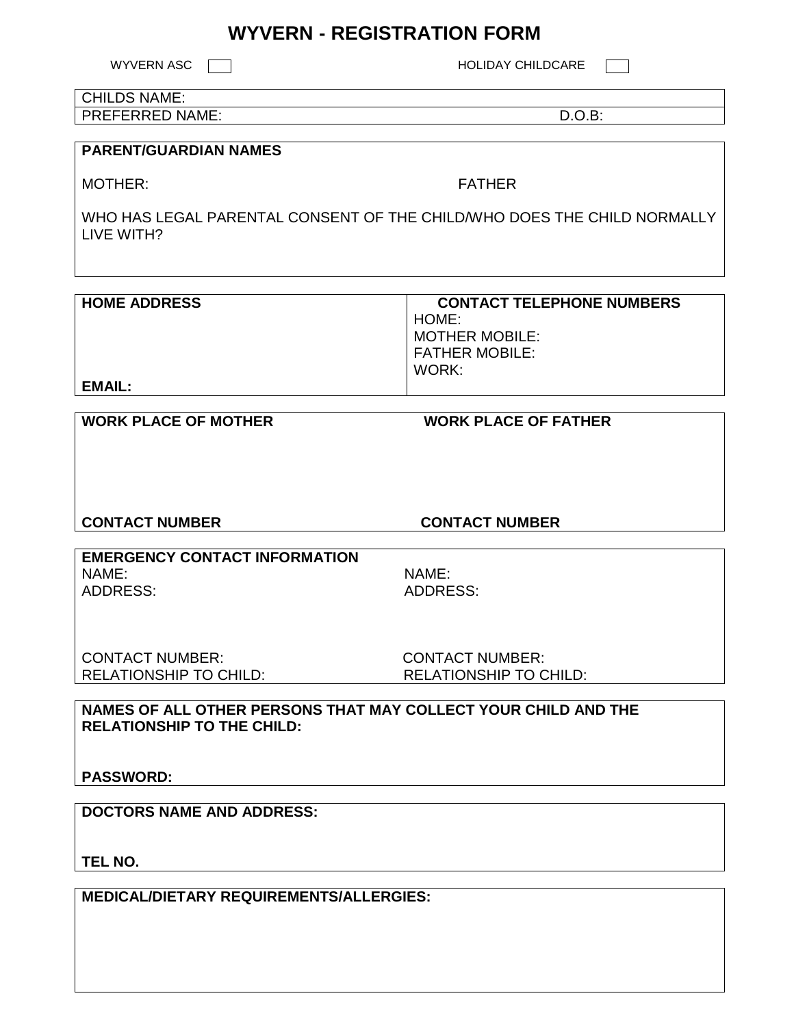# **WYVERN - REGISTRATION FORM**

WYVERN ASC  $\Box$ 

#### CHILDS NAME: PREFERRED NAME: D.O.B:

## **PARENT/GUARDIAN NAMES**

MOTHER: THE RESERVE TO A RESERVE THE RESERVE TO A RESERVE THE RESERVE TO A RESERVE THE RESERVE TO A RESERVE THE RESERVE TO A RESERVE THE RESERVE TO A RESERVE THE RESERVE TO A RESERVE THE RESERVE TO A RESERVE THE RESERVE TH

WHO HAS LEGAL PARENTAL CONSENT OF THE CHILD/WHO DOES THE CHILD NORMALLY LIVE WITH?

| <b>HOME ADDRESS</b> | <b>CONTACT TELEPHONE NUMBERS</b> |
|---------------------|----------------------------------|
|                     | HOME:                            |
|                     | <b>MOTHER MOBILE:</b>            |
|                     | <b>FATHER MOBILE:</b>            |
|                     | WORK:                            |
| EMAIL:              |                                  |

## **WORK PLACE OF MOTHER WORK PLACE OF FATHER**

**CONTACT NUMBER CONTACT NUMBER** 

**EMERGENCY CONTACT INFORMATION** NAME: NAME: ADDRESS: ADDRESS:

CONTACT NUMBER: CONTACT NUMBER:

RELATIONSHIP TO CHILD: RELATIONSHIP TO CHILD:

**NAMES OF ALL OTHER PERSONS THAT MAY COLLECT YOUR CHILD AND THE RELATIONSHIP TO THE CHILD:** 

**PASSWORD:** 

**DOCTORS NAME AND ADDRESS:** 

**TEL NO.** 

**MEDICAL/DIETARY REQUIREMENTS/ALLERGIES:**